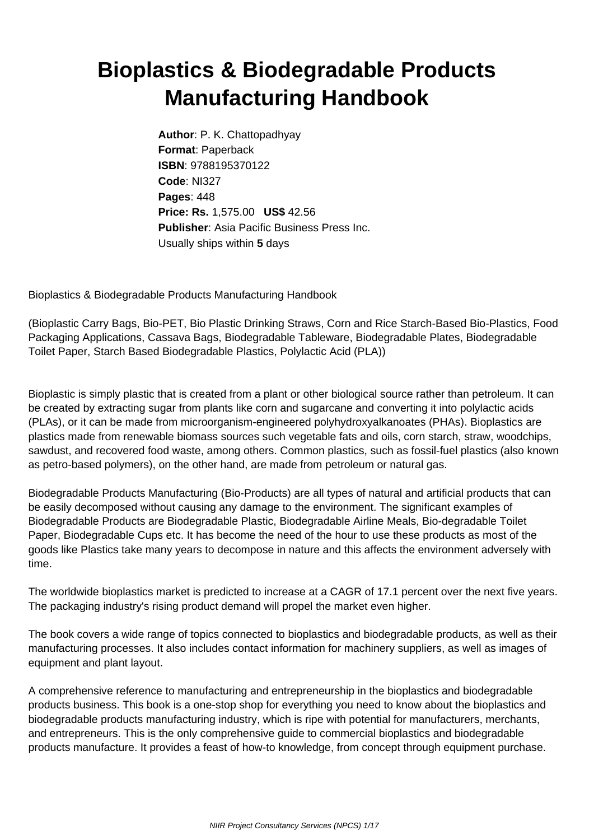# **Bioplastics & Biodegradable Products Manufacturing Handbook**

**Author**: P. K. Chattopadhyay **Format**: Paperback **ISBN**: 9788195370122 **Code**: NI327 **Pages**: 448 **Price: Rs.** 1,575.00 **US\$** 42.56 **Publisher**: Asia Pacific Business Press Inc. Usually ships within **5** days

Bioplastics & Biodegradable Products Manufacturing Handbook

(Bioplastic Carry Bags, Bio-PET, Bio Plastic Drinking Straws, Corn and Rice Starch-Based Bio-Plastics, Food Packaging Applications, Cassava Bags, Biodegradable Tableware, Biodegradable Plates, Biodegradable Toilet Paper, Starch Based Biodegradable Plastics, Polylactic Acid (PLA))

Bioplastic is simply plastic that is created from a plant or other biological source rather than petroleum. It can be created by extracting sugar from plants like corn and sugarcane and converting it into polylactic acids (PLAs), or it can be made from microorganism-engineered polyhydroxyalkanoates (PHAs). Bioplastics are plastics made from renewable biomass sources such vegetable fats and oils, corn starch, straw, woodchips, sawdust, and recovered food waste, among others. Common plastics, such as fossil-fuel plastics (also known as petro-based polymers), on the other hand, are made from petroleum or natural gas.

Biodegradable Products Manufacturing (Bio-Products) are all types of natural and artificial products that can be easily decomposed without causing any damage to the environment. The significant examples of Biodegradable Products are Biodegradable Plastic, Biodegradable Airline Meals, Bio-degradable Toilet Paper, Biodegradable Cups etc. It has become the need of the hour to use these products as most of the goods like Plastics take many years to decompose in nature and this affects the environment adversely with time.

The worldwide bioplastics market is predicted to increase at a CAGR of 17.1 percent over the next five years. The packaging industry's rising product demand will propel the market even higher.

The book covers a wide range of topics connected to bioplastics and biodegradable products, as well as their manufacturing processes. It also includes contact information for machinery suppliers, as well as images of equipment and plant layout.

A comprehensive reference to manufacturing and entrepreneurship in the bioplastics and biodegradable products business. This book is a one-stop shop for everything you need to know about the bioplastics and biodegradable products manufacturing industry, which is ripe with potential for manufacturers, merchants, and entrepreneurs. This is the only comprehensive guide to commercial bioplastics and biodegradable products manufacture. It provides a feast of how-to knowledge, from concept through equipment purchase.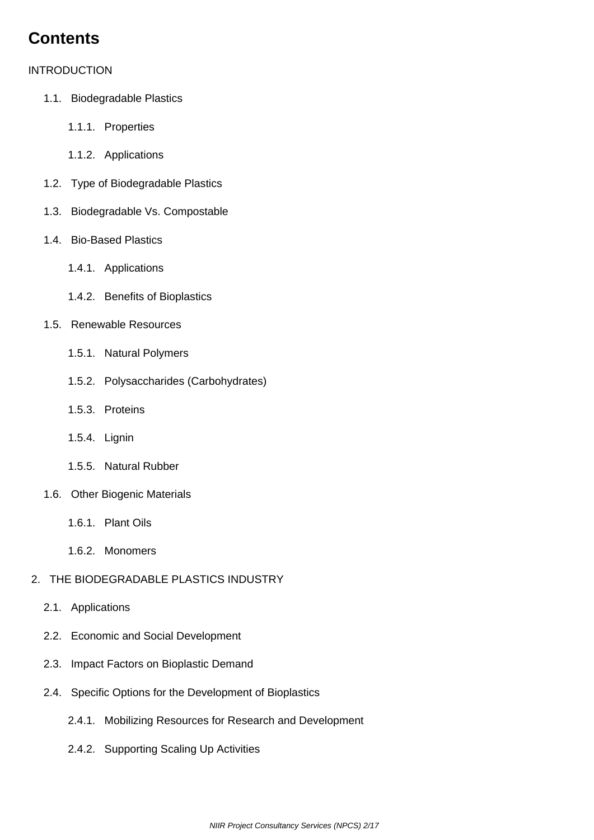# **Contents**

## INTRODUCTION

- 1.1. Biodegradable Plastics
	- 1.1.1. Properties
	- 1.1.2. Applications
- 1.2. Type of Biodegradable Plastics
- 1.3. Biodegradable Vs. Compostable
- 1.4. Bio-Based Plastics
	- 1.4.1. Applications
	- 1.4.2. Benefits of Bioplastics
- 1.5. Renewable Resources
	- 1.5.1. Natural Polymers
	- 1.5.2. Polysaccharides (Carbohydrates)
	- 1.5.3. Proteins
	- 1.5.4. Lignin
	- 1.5.5. Natural Rubber
- 1.6. Other Biogenic Materials
	- 1.6.1. Plant Oils
	- 1.6.2. Monomers
- 2. THE BIODEGRADABLE PLASTICS INDUSTRY
	- 2.1. Applications
	- 2.2. Economic and Social Development
	- 2.3. Impact Factors on Bioplastic Demand
	- 2.4. Specific Options for the Development of Bioplastics
		- 2.4.1. Mobilizing Resources for Research and Development
		- 2.4.2. Supporting Scaling Up Activities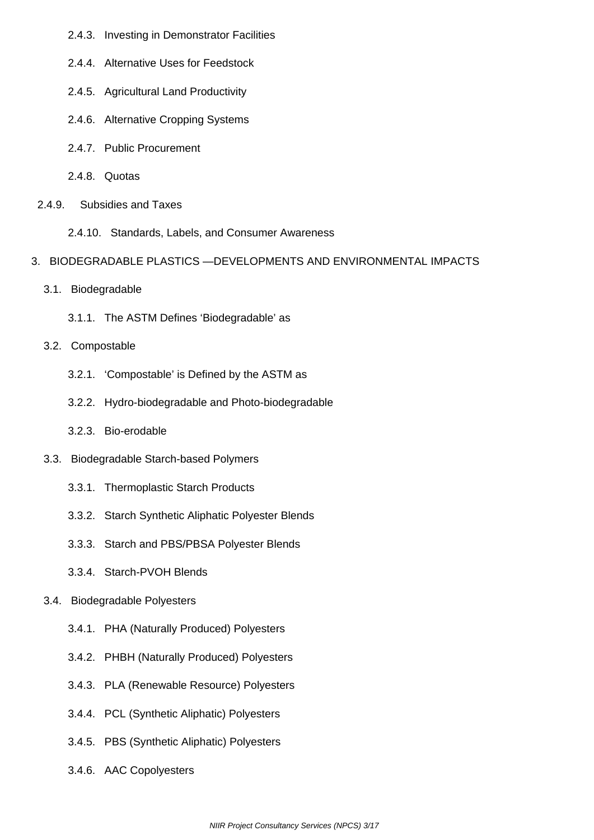- 2.4.3. Investing in Demonstrator Facilities
- 2.4.4. Alternative Uses for Feedstock
- 2.4.5. Agricultural Land Productivity
- 2.4.6. Alternative Cropping Systems
- 2.4.7. Public Procurement
- 2.4.8. Quotas
- 2.4.9. Subsidies and Taxes
	- 2.4.10. Standards, Labels, and Consumer Awareness
- 3. BIODEGRADABLE PLASTICS —DEVELOPMENTS AND ENVIRONMENTAL IMPACTS
	- 3.1. Biodegradable
		- 3.1.1. The ASTM Defines 'Biodegradable' as
	- 3.2. Compostable
		- 3.2.1. 'Compostable' is Defined by the ASTM as
		- 3.2.2. Hydro-biodegradable and Photo-biodegradable
		- 3.2.3. Bio-erodable
	- 3.3. Biodegradable Starch-based Polymers
		- 3.3.1. Thermoplastic Starch Products
		- 3.3.2. Starch Synthetic Aliphatic Polyester Blends
		- 3.3.3. Starch and PBS/PBSA Polyester Blends
		- 3.3.4. Starch-PVOH Blends
	- 3.4. Biodegradable Polyesters
		- 3.4.1. PHA (Naturally Produced) Polyesters
		- 3.4.2. PHBH (Naturally Produced) Polyesters
		- 3.4.3. PLA (Renewable Resource) Polyesters
		- 3.4.4. PCL (Synthetic Aliphatic) Polyesters
		- 3.4.5. PBS (Synthetic Aliphatic) Polyesters
		- 3.4.6. AAC Copolyesters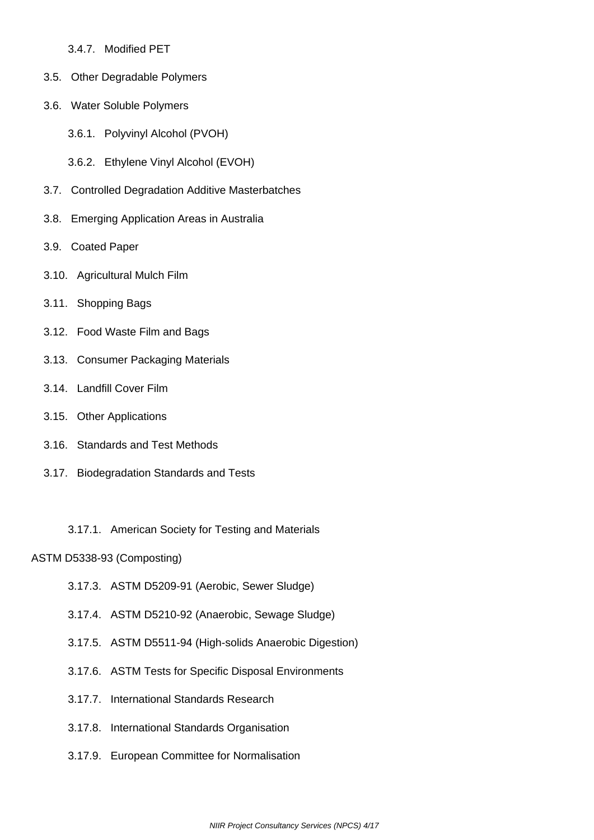#### 3.4.7. Modified PET

- 3.5. Other Degradable Polymers
- 3.6. Water Soluble Polymers
	- 3.6.1. Polyvinyl Alcohol (PVOH)
	- 3.6.2. Ethylene Vinyl Alcohol (EVOH)
- 3.7. Controlled Degradation Additive Masterbatches
- 3.8. Emerging Application Areas in Australia
- 3.9. Coated Paper
- 3.10. Agricultural Mulch Film
- 3.11. Shopping Bags
- 3.12. Food Waste Film and Bags
- 3.13. Consumer Packaging Materials
- 3.14. Landfill Cover Film
- 3.15. Other Applications
- 3.16. Standards and Test Methods
- 3.17. Biodegradation Standards and Tests
	- 3.17.1. American Society for Testing and Materials

#### ASTM D5338-93 (Composting)

- 3.17.3. ASTM D5209-91 (Aerobic, Sewer Sludge)
- 3.17.4. ASTM D5210-92 (Anaerobic, Sewage Sludge)
- 3.17.5. ASTM D5511-94 (High-solids Anaerobic Digestion)
- 3.17.6. ASTM Tests for Specific Disposal Environments
- 3.17.7. International Standards Research
- 3.17.8. International Standards Organisation
- 3.17.9. European Committee for Normalisation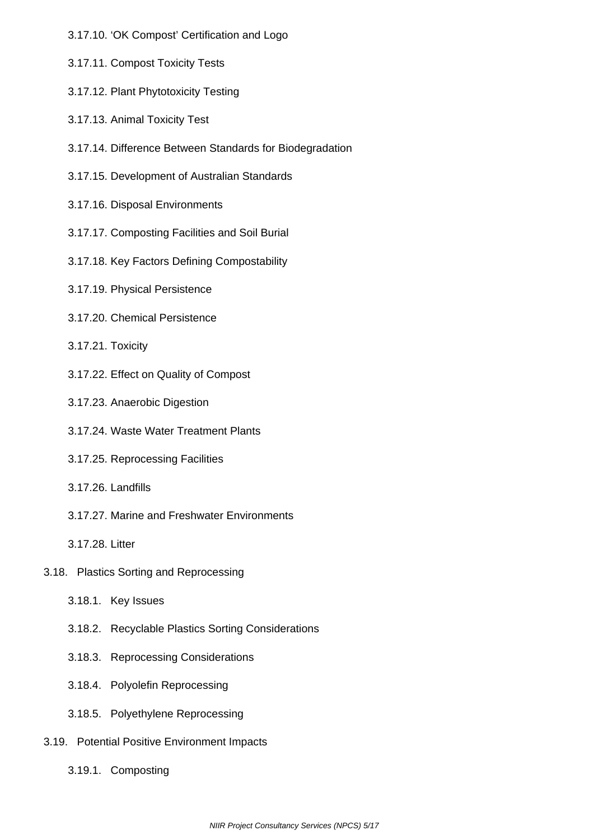- 3.17.10. 'OK Compost' Certification and Logo
- 3.17.11. Compost Toxicity Tests
- 3.17.12. Plant Phytotoxicity Testing
- 3.17.13. Animal Toxicity Test
- 3.17.14. Difference Between Standards for Biodegradation
- 3.17.15. Development of Australian Standards
- 3.17.16. Disposal Environments
- 3.17.17. Composting Facilities and Soil Burial
- 3.17.18. Key Factors Defining Compostability
- 3.17.19. Physical Persistence
- 3.17.20. Chemical Persistence
- 3.17.21. Toxicity
- 3.17.22. Effect on Quality of Compost
- 3.17.23. Anaerobic Digestion
- 3.17.24. Waste Water Treatment Plants
- 3.17.25. Reprocessing Facilities
- 3.17.26. Landfills
- 3.17.27. Marine and Freshwater Environments
- 3.17.28. Litter
- 3.18. Plastics Sorting and Reprocessing
	- 3.18.1. Key Issues
	- 3.18.2. Recyclable Plastics Sorting Considerations
	- 3.18.3. Reprocessing Considerations
	- 3.18.4. Polyolefin Reprocessing
	- 3.18.5. Polyethylene Reprocessing
- 3.19. Potential Positive Environment Impacts
	- 3.19.1. Composting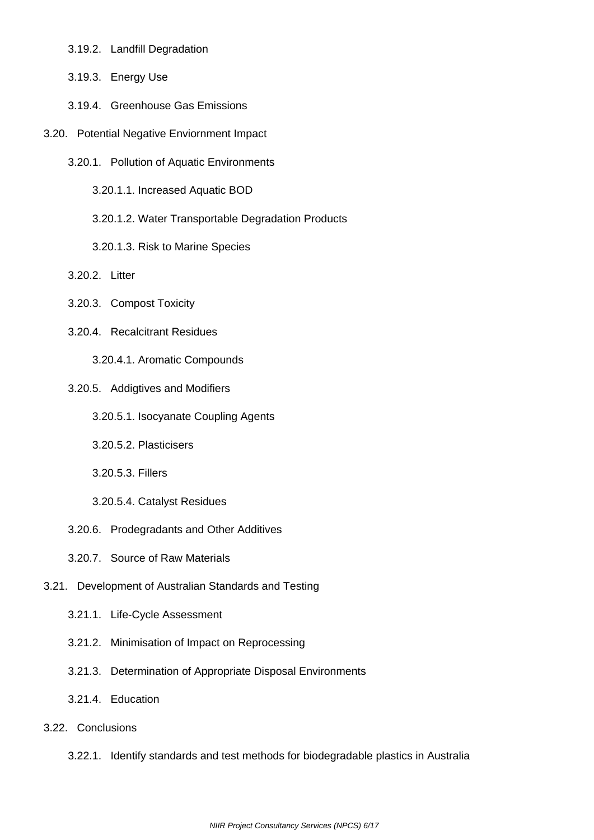- 3.19.2. Landfill Degradation
- 3.19.3. Energy Use
- 3.19.4. Greenhouse Gas Emissions
- 3.20. Potential Negative Enviornment Impact
	- 3.20.1. Pollution of Aquatic Environments
		- 3.20.1.1. Increased Aquatic BOD
		- 3.20.1.2. Water Transportable Degradation Products
		- 3.20.1.3. Risk to Marine Species
	- 3.20.2. Litter
	- 3.20.3. Compost Toxicity
	- 3.20.4. Recalcitrant Residues
		- 3.20.4.1. Aromatic Compounds
	- 3.20.5. Addigtives and Modifiers
		- 3.20.5.1. Isocyanate Coupling Agents
		- 3.20.5.2. Plasticisers
		- 3.20.5.3. Fillers
		- 3.20.5.4. Catalyst Residues
	- 3.20.6. Prodegradants and Other Additives
	- 3.20.7. Source of Raw Materials
- 3.21. Development of Australian Standards and Testing
	- 3.21.1. Life-Cycle Assessment
	- 3.21.2. Minimisation of Impact on Reprocessing
	- 3.21.3. Determination of Appropriate Disposal Environments
	- 3.21.4. Education

### 3.22. Conclusions

3.22.1. Identify standards and test methods for biodegradable plastics in Australia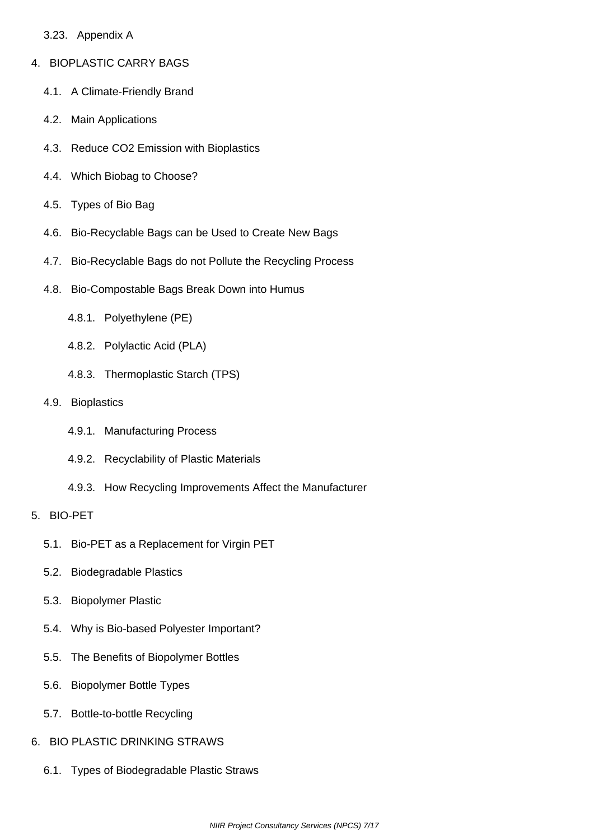3.23. Appendix A

- 4. BIOPLASTIC CARRY BAGS
	- 4.1. A Climate-Friendly Brand
	- 4.2. Main Applications
	- 4.3. Reduce CO2 Emission with Bioplastics
	- 4.4. Which Biobag to Choose?
	- 4.5. Types of Bio Bag
	- 4.6. Bio-Recyclable Bags can be Used to Create New Bags
	- 4.7. Bio-Recyclable Bags do not Pollute the Recycling Process
	- 4.8. Bio-Compostable Bags Break Down into Humus
		- 4.8.1. Polyethylene (PE)
		- 4.8.2. Polylactic Acid (PLA)
		- 4.8.3. Thermoplastic Starch (TPS)
	- 4.9. Bioplastics
		- 4.9.1. Manufacturing Process
		- 4.9.2. Recyclability of Plastic Materials
		- 4.9.3. How Recycling Improvements Affect the Manufacturer
- 5. BIO-PET
	- 5.1. Bio-PET as a Replacement for Virgin PET
	- 5.2. Biodegradable Plastics
	- 5.3. Biopolymer Plastic
	- 5.4. Why is Bio-based Polyester Important?
	- 5.5. The Benefits of Biopolymer Bottles
	- 5.6. Biopolymer Bottle Types
	- 5.7. Bottle-to-bottle Recycling
- 6. BIO PLASTIC DRINKING STRAWS
	- 6.1. Types of Biodegradable Plastic Straws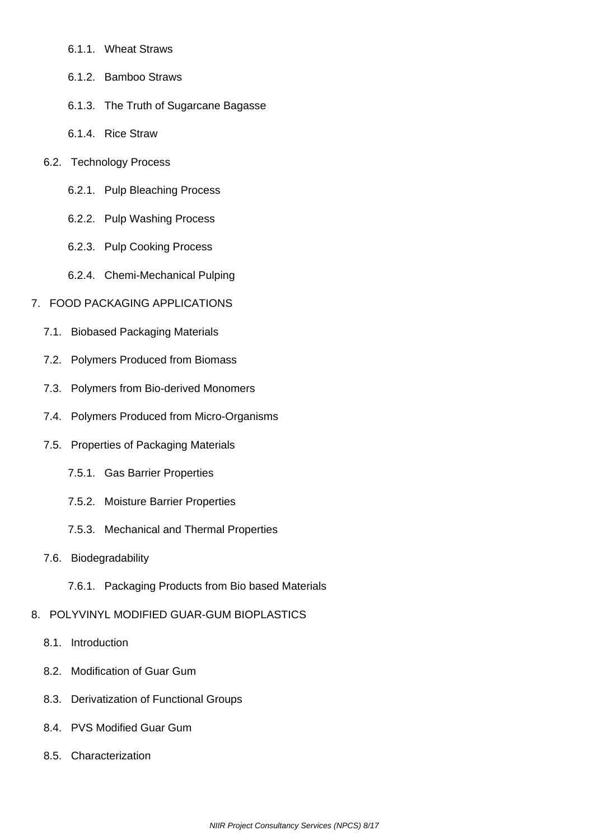- 6.1.1. Wheat Straws
- 6.1.2. Bamboo Straws
- 6.1.3. The Truth of Sugarcane Bagasse
- 6.1.4. Rice Straw
- 6.2. Technology Process
	- 6.2.1. Pulp Bleaching Process
	- 6.2.2. Pulp Washing Process
	- 6.2.3. Pulp Cooking Process
	- 6.2.4. Chemi-Mechanical Pulping

#### 7. FOOD PACKAGING APPLICATIONS

- 7.1. Biobased Packaging Materials
- 7.2. Polymers Produced from Biomass
- 7.3. Polymers from Bio-derived Monomers
- 7.4. Polymers Produced from Micro-Organisms
- 7.5. Properties of Packaging Materials
	- 7.5.1. Gas Barrier Properties
	- 7.5.2. Moisture Barrier Properties
	- 7.5.3. Mechanical and Thermal Properties
- 7.6. Biodegradability
	- 7.6.1. Packaging Products from Bio based Materials

#### 8. POLYVINYL MODIFIED GUAR-GUM BIOPLASTICS

- 8.1. Introduction
- 8.2. Modification of Guar Gum
- 8.3. Derivatization of Functional Groups
- 8.4. PVS Modified Guar Gum
- 8.5. Characterization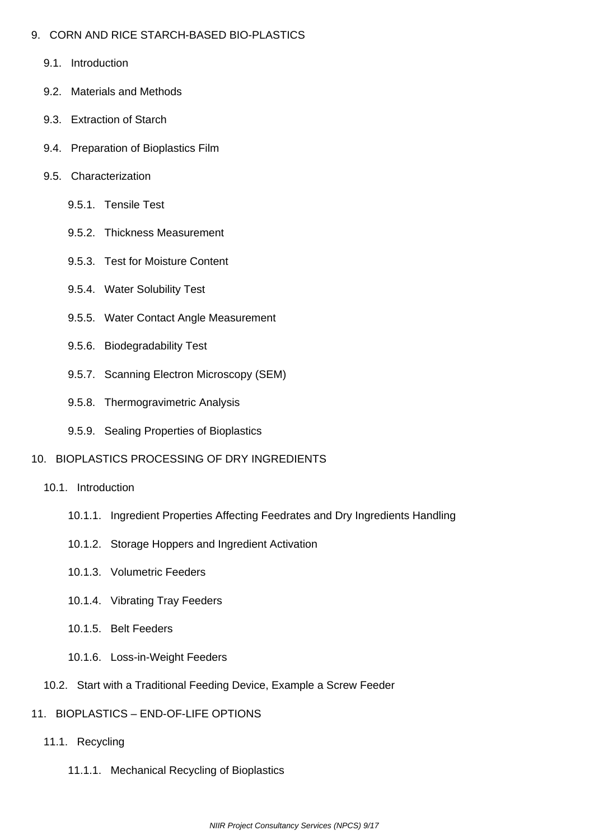#### 9. CORN AND RICE STARCH-BASED BIO-PLASTICS

- 9.1. Introduction
- 9.2. Materials and Methods
- 9.3. Extraction of Starch
- 9.4. Preparation of Bioplastics Film
- 9.5. Characterization
	- 9.5.1. Tensile Test
	- 9.5.2. Thickness Measurement
	- 9.5.3. Test for Moisture Content
	- 9.5.4. Water Solubility Test
	- 9.5.5. Water Contact Angle Measurement
	- 9.5.6. Biodegradability Test
	- 9.5.7. Scanning Electron Microscopy (SEM)
	- 9.5.8. Thermogravimetric Analysis
	- 9.5.9. Sealing Properties of Bioplastics
- 10. BIOPLASTICS PROCESSING OF DRY INGREDIENTS
	- 10.1. Introduction
		- 10.1.1. Ingredient Properties Affecting Feedrates and Dry Ingredients Handling
		- 10.1.2. Storage Hoppers and Ingredient Activation
		- 10.1.3. Volumetric Feeders
		- 10.1.4. Vibrating Tray Feeders
		- 10.1.5. Belt Feeders
		- 10.1.6. Loss-in-Weight Feeders
	- 10.2. Start with a Traditional Feeding Device, Example a Screw Feeder
- 11. BIOPLASTICS END-OF-LIFE OPTIONS
	- 11.1. Recycling
		- 11.1.1. Mechanical Recycling of Bioplastics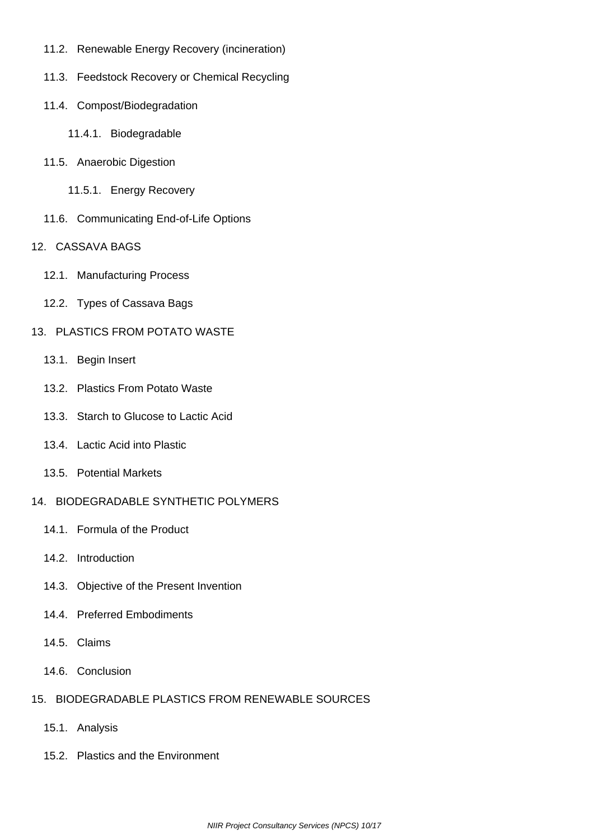- 11.2. Renewable Energy Recovery (incineration)
- 11.3. Feedstock Recovery or Chemical Recycling
- 11.4. Compost/Biodegradation
	- 11.4.1. Biodegradable
- 11.5. Anaerobic Digestion
	- 11.5.1. Energy Recovery
- 11.6. Communicating End-of-Life Options
- 12. CASSAVA BAGS
	- 12.1. Manufacturing Process
	- 12.2. Types of Cassava Bags

#### 13. PLASTICS FROM POTATO WASTE

- 13.1. Begin Insert
- 13.2. Plastics From Potato Waste
- 13.3. Starch to Glucose to Lactic Acid
- 13.4. Lactic Acid into Plastic
- 13.5. Potential Markets

#### 14. BIODEGRADABLE SYNTHETIC POLYMERS

- 14.1. Formula of the Product
- 14.2. Introduction
- 14.3. Objective of the Present Invention
- 14.4. Preferred Embodiments
- 14.5. Claims
- 14.6. Conclusion

# 15. BIODEGRADABLE PLASTICS FROM RENEWABLE SOURCES

- 15.1. Analysis
- 15.2. Plastics and the Environment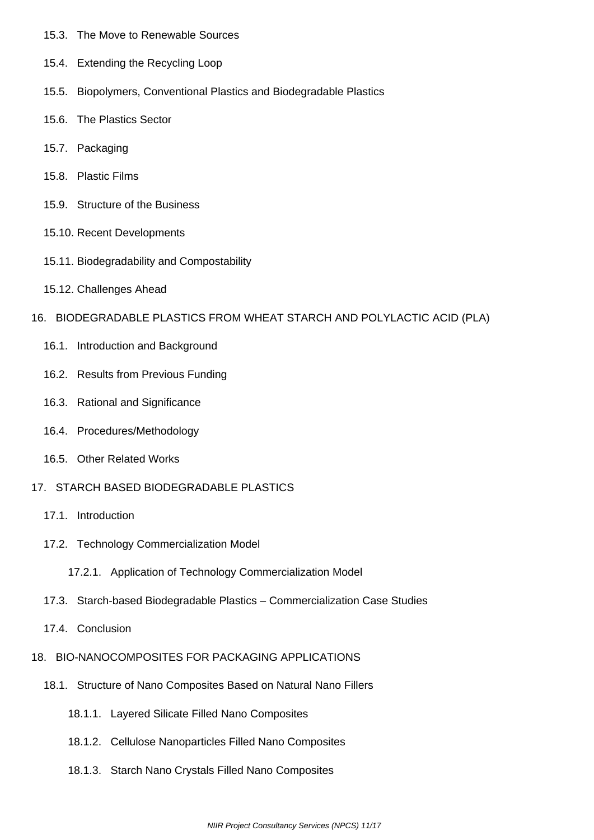- 15.3. The Move to Renewable Sources
- 15.4. Extending the Recycling Loop
- 15.5. Biopolymers, Conventional Plastics and Biodegradable Plastics
- 15.6. The Plastics Sector
- 15.7. Packaging
- 15.8. Plastic Films
- 15.9. Structure of the Business
- 15.10. Recent Developments
- 15.11. Biodegradability and Compostability
- 15.12. Challenges Ahead

#### 16. BIODEGRADABLE PLASTICS FROM WHEAT STARCH AND POLYLACTIC ACID (PLA)

- 16.1. Introduction and Background
- 16.2. Results from Previous Funding
- 16.3. Rational and Significance
- 16.4. Procedures/Methodology
- 16.5. Other Related Works
- 17. STARCH BASED BIODEGRADABLE PLASTICS
	- 17.1. Introduction
	- 17.2. Technology Commercialization Model
		- 17.2.1. Application of Technology Commercialization Model
	- 17.3. Starch-based Biodegradable Plastics Commercialization Case Studies
	- 17.4. Conclusion
- 18. BIO-NANOCOMPOSITES FOR PACKAGING APPLICATIONS
	- 18.1. Structure of Nano Composites Based on Natural Nano Fillers
		- 18.1.1. Layered Silicate Filled Nano Composites
		- 18.1.2. Cellulose Nanoparticles Filled Nano Composites
		- 18.1.3. Starch Nano Crystals Filled Nano Composites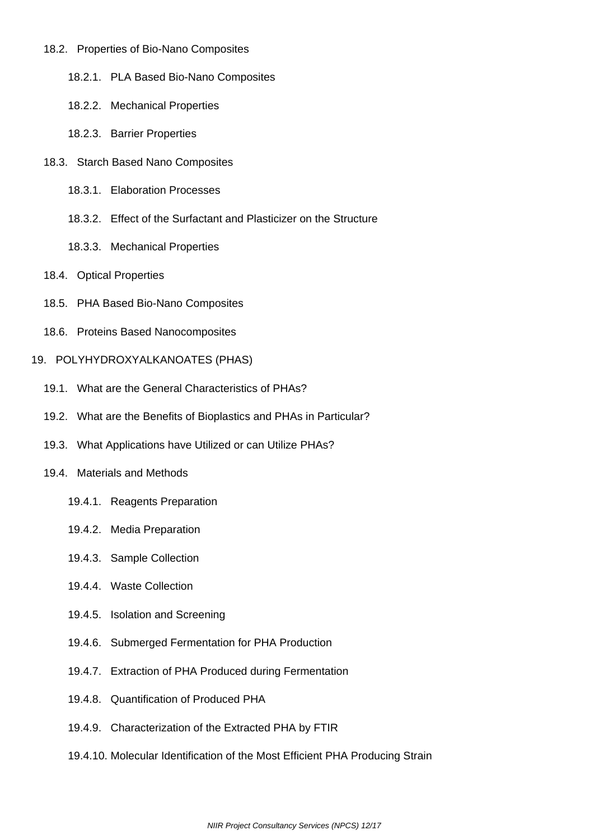- 18.2. Properties of Bio-Nano Composites
	- 18.2.1. PLA Based Bio-Nano Composites
	- 18.2.2. Mechanical Properties
	- 18.2.3. Barrier Properties
- 18.3. Starch Based Nano Composites
	- 18.3.1. Elaboration Processes
	- 18.3.2. Effect of the Surfactant and Plasticizer on the Structure
	- 18.3.3. Mechanical Properties
- 18.4. Optical Properties
- 18.5. PHA Based Bio-Nano Composites
- 18.6. Proteins Based Nanocomposites

#### 19. POLYHYDROXYALKANOATES (PHAS)

- 19.1. What are the General Characteristics of PHAs?
- 19.2. What are the Benefits of Bioplastics and PHAs in Particular?
- 19.3. What Applications have Utilized or can Utilize PHAs?
- 19.4. Materials and Methods
	- 19.4.1. Reagents Preparation
	- 19.4.2. Media Preparation
	- 19.4.3. Sample Collection
	- 19.4.4. Waste Collection
	- 19.4.5. Isolation and Screening
	- 19.4.6. Submerged Fermentation for PHA Production
	- 19.4.7. Extraction of PHA Produced during Fermentation
	- 19.4.8. Quantification of Produced PHA
	- 19.4.9. Characterization of the Extracted PHA by FTIR
	- 19.4.10. Molecular Identification of the Most Efficient PHA Producing Strain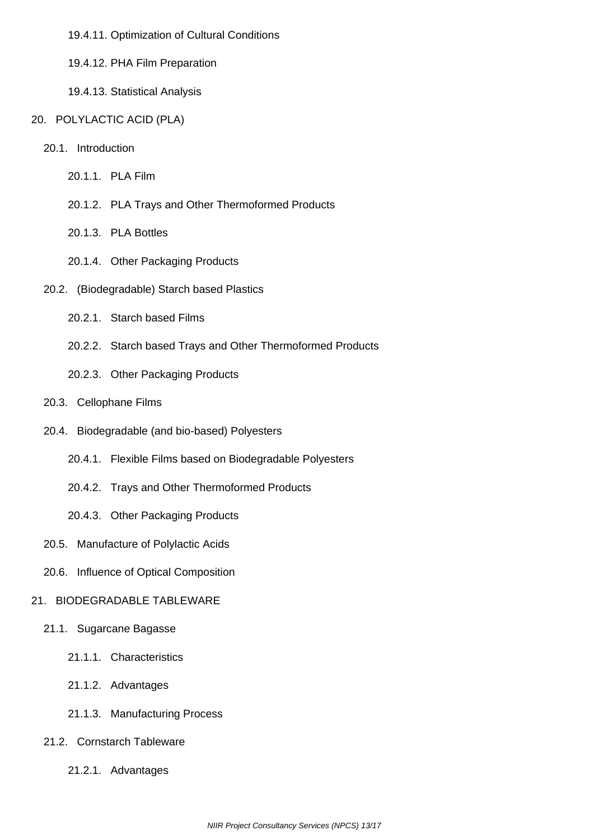- 19.4.11. Optimization of Cultural Conditions
- 19.4.12. PHA Film Preparation
- 19.4.13. Statistical Analysis
- 20. POLYLACTIC ACID (PLA)
	- 20.1. Introduction
		- 20.1.1. PLA Film
		- 20.1.2. PLA Trays and Other Thermoformed Products
		- 20.1.3. PLA Bottles
		- 20.1.4. Other Packaging Products
	- 20.2. (Biodegradable) Starch based Plastics
		- 20.2.1. Starch based Films
		- 20.2.2. Starch based Trays and Other Thermoformed Products
		- 20.2.3. Other Packaging Products
	- 20.3. Cellophane Films
	- 20.4. Biodegradable (and bio-based) Polyesters
		- 20.4.1. Flexible Films based on Biodegradable Polyesters
		- 20.4.2. Trays and Other Thermoformed Products
		- 20.4.3. Other Packaging Products
	- 20.5. Manufacture of Polylactic Acids
	- 20.6. Influence of Optical Composition

## 21. BIODEGRADABLE TABLEWARE

- 21.1. Sugarcane Bagasse
	- 21.1.1. Characteristics
	- 21.1.2. Advantages
	- 21.1.3. Manufacturing Process
- 21.2. Cornstarch Tableware
	- 21.2.1. Advantages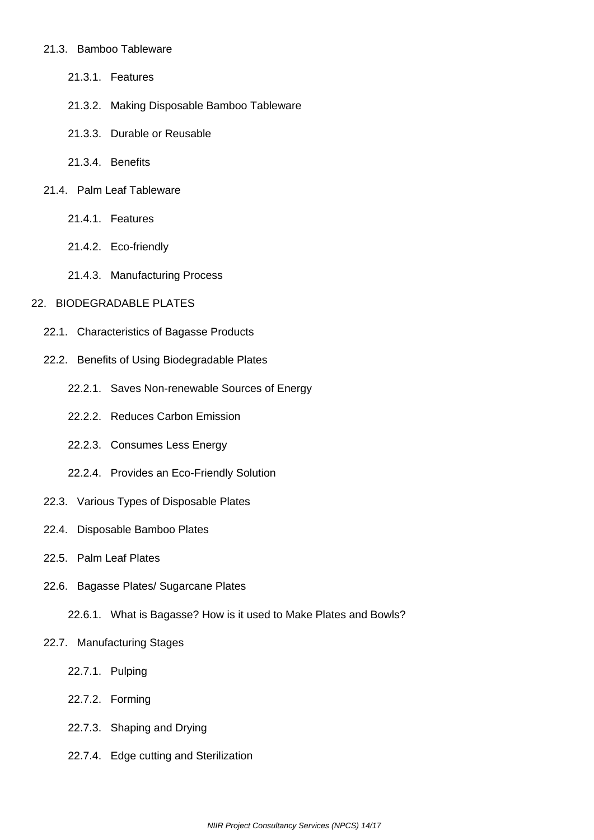#### 21.3. Bamboo Tableware

- 21.3.1. Features
- 21.3.2. Making Disposable Bamboo Tableware
- 21.3.3. Durable or Reusable
- 21.3.4. Benefits
- 21.4. Palm Leaf Tableware
	- 21.4.1. Features
	- 21.4.2. Eco-friendly
	- 21.4.3. Manufacturing Process

#### 22. BIODEGRADABLE PLATES

- 22.1. Characteristics of Bagasse Products
- 22.2. Benefits of Using Biodegradable Plates
	- 22.2.1. Saves Non-renewable Sources of Energy
	- 22.2.2. Reduces Carbon Emission
	- 22.2.3. Consumes Less Energy
	- 22.2.4. Provides an Eco-Friendly Solution
- 22.3. Various Types of Disposable Plates
- 22.4. Disposable Bamboo Plates
- 22.5. Palm Leaf Plates
- 22.6. Bagasse Plates/ Sugarcane Plates
	- 22.6.1. What is Bagasse? How is it used to Make Plates and Bowls?

#### 22.7. Manufacturing Stages

- 22.7.1. Pulping
- 22.7.2. Forming
- 22.7.3. Shaping and Drying
- 22.7.4. Edge cutting and Sterilization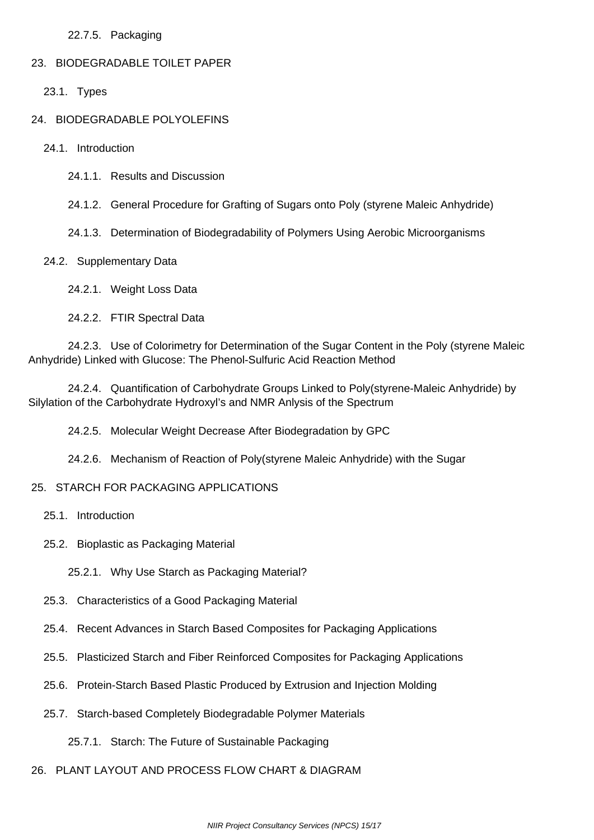22.7.5. Packaging

#### 23. BIODEGRADABLE TOILET PAPER

- 23.1. Types
- 24. BIODEGRADABLE POLYOLEFINS
	- 24.1. Introduction
		- 24.1.1. Results and Discussion
		- 24.1.2. General Procedure for Grafting of Sugars onto Poly (styrene Maleic Anhydride)
		- 24.1.3. Determination of Biodegradability of Polymers Using Aerobic Microorganisms
	- 24.2. Supplementary Data
		- 24.2.1. Weight Loss Data
		- 24.2.2. FTIR Spectral Data

 24.2.3. Use of Colorimetry for Determination of the Sugar Content in the Poly (styrene Maleic Anhydride) Linked with Glucose: The Phenol-Sulfuric Acid Reaction Method

 24.2.4. Quantification of Carbohydrate Groups Linked to Poly(styrene-Maleic Anhydride) by Silylation of the Carbohydrate Hydroxyl's and NMR Anlysis of the Spectrum

24.2.5. Molecular Weight Decrease After Biodegradation by GPC

24.2.6. Mechanism of Reaction of Poly(styrene Maleic Anhydride) with the Sugar

#### 25. STARCH FOR PACKAGING APPLICATIONS

- 25.1. Introduction
- 25.2. Bioplastic as Packaging Material
	- 25.2.1. Why Use Starch as Packaging Material?
- 25.3. Characteristics of a Good Packaging Material
- 25.4. Recent Advances in Starch Based Composites for Packaging Applications
- 25.5. Plasticized Starch and Fiber Reinforced Composites for Packaging Applications
- 25.6. Protein-Starch Based Plastic Produced by Extrusion and Injection Molding
- 25.7. Starch-based Completely Biodegradable Polymer Materials
	- 25.7.1. Starch: The Future of Sustainable Packaging
- 26. PLANT LAYOUT AND PROCESS FLOW CHART & DIAGRAM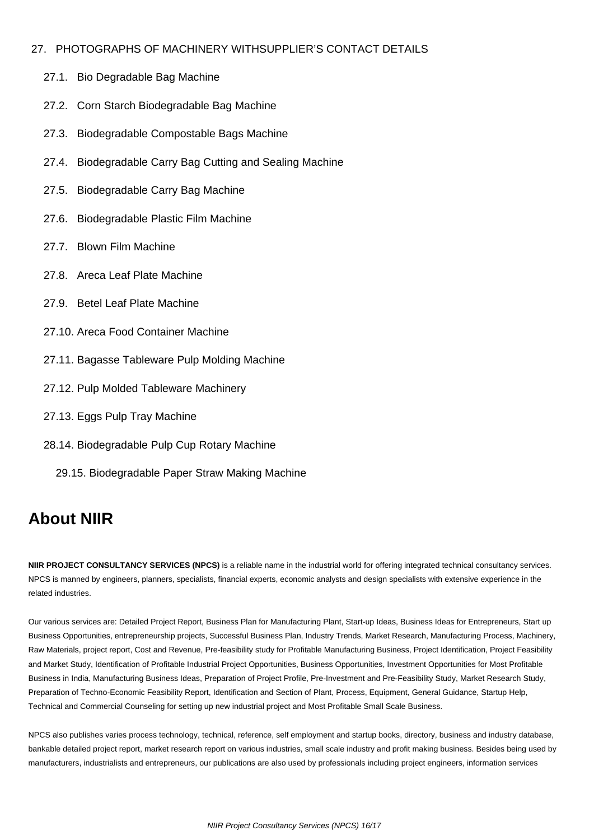#### 27. PHOTOGRAPHS OF MACHINERY WITHSUPPLIER'S CONTACT DETAILS

- 27.1. Bio Degradable Bag Machine
- 27.2. Corn Starch Biodegradable Bag Machine
- 27.3. Biodegradable Compostable Bags Machine
- 27.4. Biodegradable Carry Bag Cutting and Sealing Machine
- 27.5. Biodegradable Carry Bag Machine
- 27.6. Biodegradable Plastic Film Machine
- 27.7. Blown Film Machine
- 27.8. Areca Leaf Plate Machine
- 27.9. Betel Leaf Plate Machine
- 27.10. Areca Food Container Machine
- 27.11. Bagasse Tableware Pulp Molding Machine
- 27.12. Pulp Molded Tableware Machinery
- 27.13. Eggs Pulp Tray Machine
- 28.14. Biodegradable Pulp Cup Rotary Machine
	- 29.15. Biodegradable Paper Straw Making Machine

# **About NIIR**

**NIIR PROJECT CONSULTANCY SERVICES (NPCS)** is a reliable name in the industrial world for offering integrated technical consultancy services. NPCS is manned by engineers, planners, specialists, financial experts, economic analysts and design specialists with extensive experience in the related industries.

Our various services are: Detailed Project Report, Business Plan for Manufacturing Plant, Start-up Ideas, Business Ideas for Entrepreneurs, Start up Business Opportunities, entrepreneurship projects, Successful Business Plan, Industry Trends, Market Research, Manufacturing Process, Machinery, Raw Materials, project report, Cost and Revenue, Pre-feasibility study for Profitable Manufacturing Business, Project Identification, Project Feasibility and Market Study, Identification of Profitable Industrial Project Opportunities, Business Opportunities, Investment Opportunities for Most Profitable Business in India, Manufacturing Business Ideas, Preparation of Project Profile, Pre-Investment and Pre-Feasibility Study, Market Research Study, Preparation of Techno-Economic Feasibility Report, Identification and Section of Plant, Process, Equipment, General Guidance, Startup Help, Technical and Commercial Counseling for setting up new industrial project and Most Profitable Small Scale Business.

NPCS also publishes varies process technology, technical, reference, self employment and startup books, directory, business and industry database, bankable detailed project report, market research report on various industries, small scale industry and profit making business. Besides being used by manufacturers, industrialists and entrepreneurs, our publications are also used by professionals including project engineers, information services